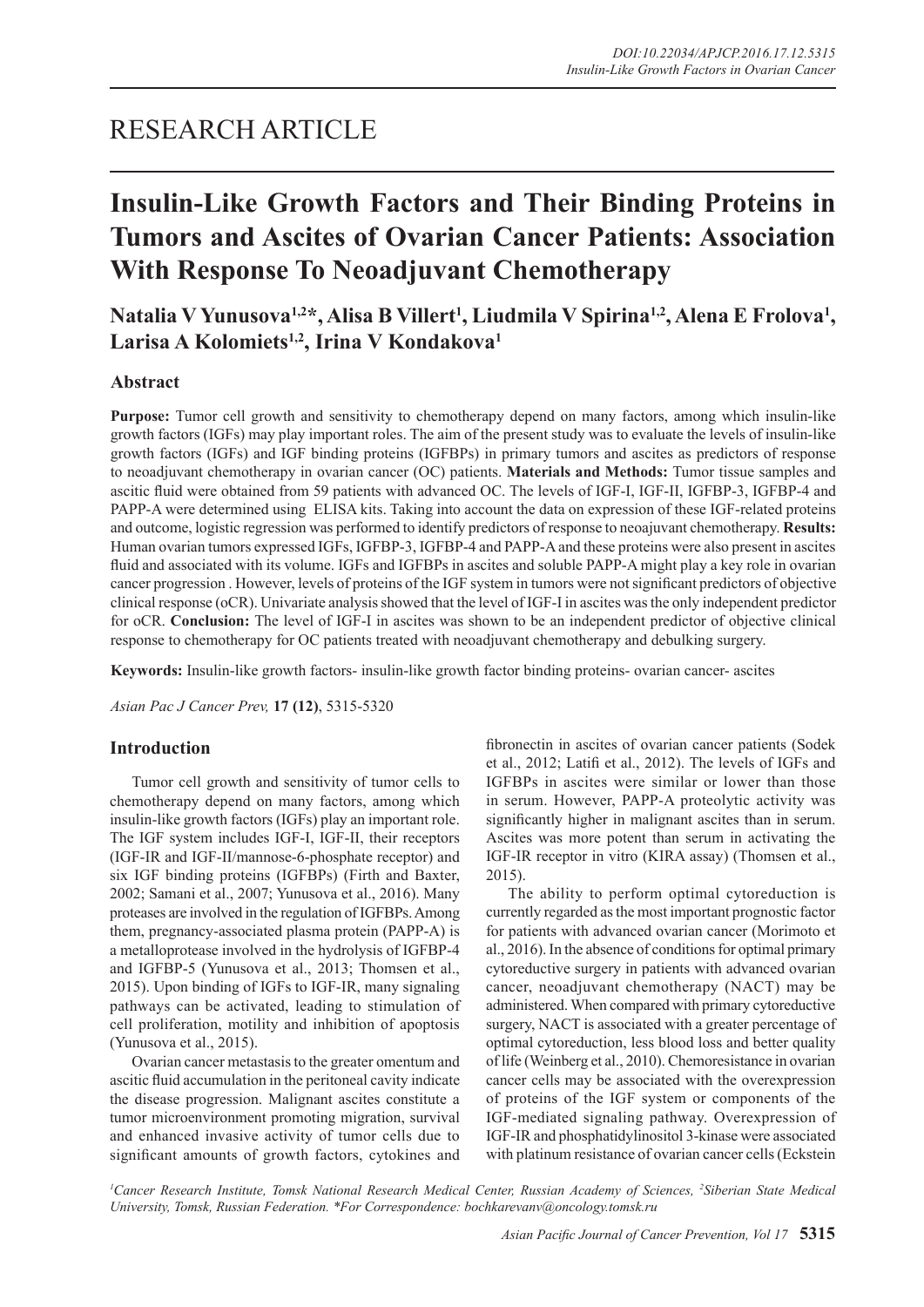# RESEARCH ARTICLE

# **Insulin-Like Growth Factors and Their Binding Proteins in Tumors and Ascites of Ovarian Cancer Patients: Association With Response To Neoadjuvant Chemotherapy**

# Natalia V Yunusova<sup>1,2</sup>\*, Alisa B Villert<sup>1</sup>, Liudmila V Spirina<sup>1,2</sup>, Alena E Frolova<sup>1</sup>, **Larisa A Kolomiets1,2, Irina V Kondakova1**

## **Abstract**

**Purpose:** Tumor cell growth and sensitivity to chemotherapy depend on many factors, among which insulin-like growth factors (IGFs) may play important roles. The aim of the present study was to evaluate the levels of insulin-like growth factors (IGFs) and IGF binding proteins (IGFBPs) in primary tumors and ascites as predictors of response to neoadjuvant chemotherapy in ovarian cancer (OC) patients. **Materials and Methods:** Tumor tissue samples and ascitic fluid were obtained from 59 patients with advanced OC. The levels of IGF-I, IGF-II, IGFBP-3, IGFBP-4 and PAPP-A were determined using ELISA kits. Taking into account the data on expression of these IGF-related proteins and outcome, logistic regression was performed to identify predictors of response to neoajuvant chemotherapy. **Results:**  Human ovarian tumors expressed IGFs, IGFBP-3, IGFBP-4 and PAPP-A and these proteins were also present in ascites fluid and associated with its volume. IGFs and IGFBPs in ascites and soluble PAPP-A might play a key role in ovarian cancer progression . However, levels of proteins of the IGF system in tumors were not significant predictors of objective clinical response (oCR). Univariate analysis showed that the level of IGF-I in ascites was the only independent predictor for oCR. **Conclusion:** The level of IGF-I in ascites was shown to be an independent predictor of objective clinical response to chemotherapy for OC patients treated with neoadjuvant chemotherapy and debulking surgery.

**Keywords:** Insulin-like growth factors- insulin-like growth factor binding proteins- ovarian cancer- ascites

*Asian Pac J Cancer Prev,* **17 (12)**, 5315-5320

### **Introduction**

Tumor cell growth and sensitivity of tumor cells to chemotherapy depend on many factors, among which insulin-like growth factors (IGFs) play an important role. The IGF system includes IGF-I, IGF-II, their receptors (IGF-IR and IGF-II/mannose-6-phosphate receptor) and six IGF binding proteins (IGFBPs) (Firth and Baxter, 2002; Samani et al., 2007; Yunusova et al., 2016). Many proteases are involved in the regulation of IGFBPs. Among them, pregnancy-associated plasma protein (PAPP-A) is a metalloprotease involved in the hydrolysis of IGFBP-4 and IGFBP-5 (Yunusova et al., 2013; Thomsen et al., 2015). Upon binding of IGFs to IGF-IR, many signaling pathways can be activated, leading to stimulation of cell proliferation, motility and inhibition of apoptosis (Yunusova et al., 2015).

Ovarian cancer metastasis to the greater omentum and ascitic fluid accumulation in the peritoneal cavity indicate the disease progression. Malignant ascites constitute a tumor microenvironment promoting migration, survival and enhanced invasive activity of tumor cells due to significant amounts of growth factors, cytokines and fibronectin in ascites of ovarian cancer patients (Sodek et al., 2012; Latifi et al., 2012). The levels of IGFs and IGFBPs in ascites were similar or lower than those in serum. However, PAPP-A proteolytic activity was significantly higher in malignant ascites than in serum. Ascites was more potent than serum in activating the IGF-IR receptor in vitro (KIRA assay) (Thomsen et al., 2015).

The ability to perform optimal cytoreduction is currently regarded as the most important prognostic factor for patients with advanced ovarian cancer (Morimoto et al., 2016). In the absence of conditions for optimal primary cytoreductive surgery in patients with advanced ovarian cancer, neoadjuvant chemotherapy (NACT) may be administered. When compared with primary cytoreductive surgery, NACT is associated with a greater percentage of optimal cytoreduction, less blood loss and better quality of life (Weinberg et al., 2010). Chemoresistance in ovarian cancer cells may be associated with the overexpression of proteins of the IGF system or components of the IGF-mediated signaling pathway. Overexpression of IGF-IR and phosphatidylinositol 3-kinase were associated with platinum resistance of ovarian cancer cells (Eckstein

*1 Cancer Research Institute, Tomsk National Research Medical Center, Russian Academy of Sciences, 2 Siberian State Medical University, Tomsk, Russian Federation. \*For Correspondence: bochkarevanv@oncology.tomsk.ru*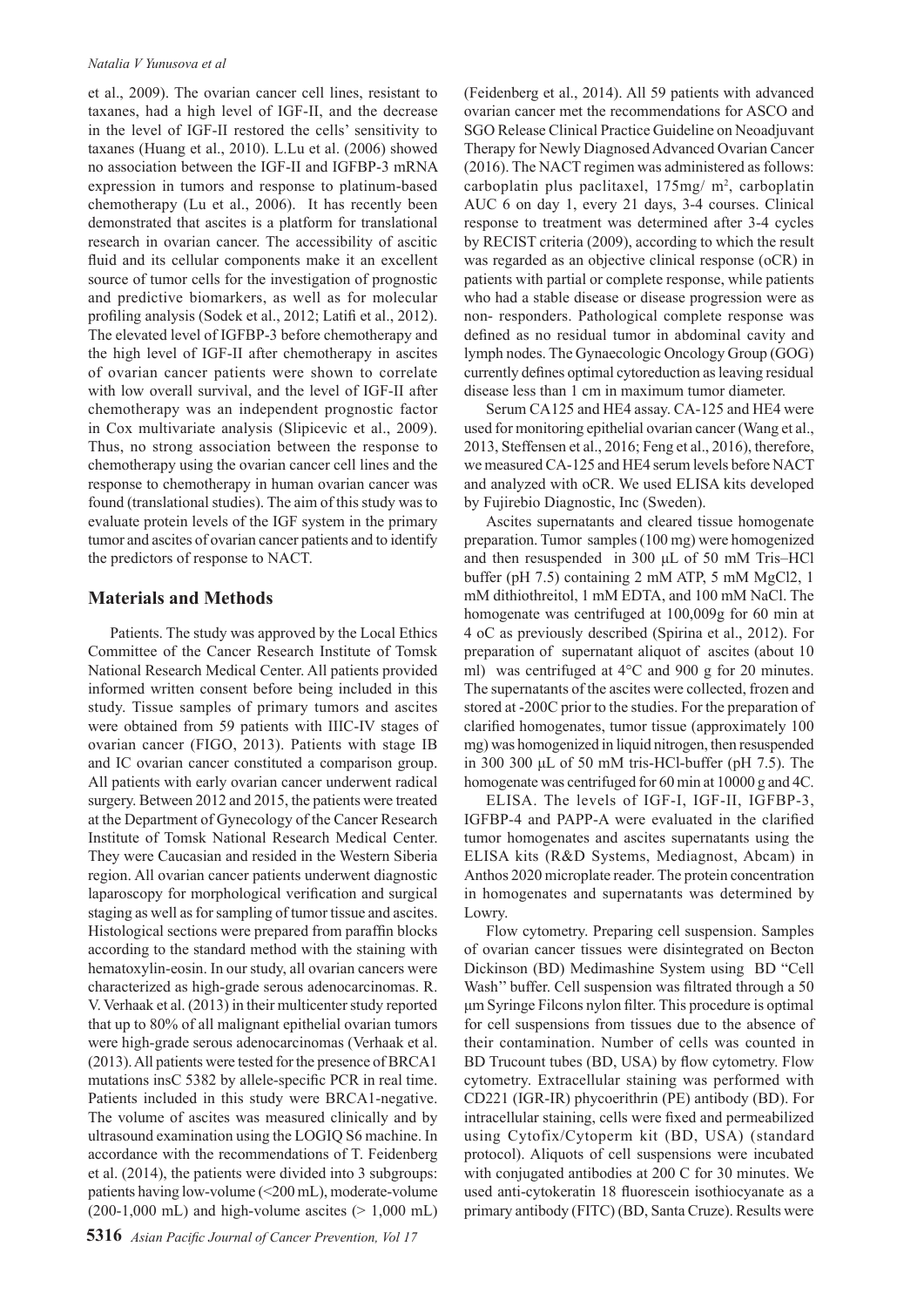#### *Natalia V Yunusova et al*

et al., 2009). The ovarian cancer cell lines, resistant to taxanes, had a high level of IGF-II, and the decrease in the level of IGF-II restored the cells' sensitivity to taxanes (Huang et al., 2010). L.Lu et al. (2006) showed no association between the IGF-II and IGFBP-3 mRNA expression in tumors and response to platinum-based chemotherapy (Lu et al., 2006). It has recently been demonstrated that ascites is a platform for translational research in ovarian cancer. The accessibility of ascitic fluid and its cellular components make it an excellent source of tumor cells for the investigation of prognostic and predictive biomarkers, as well as for molecular profiling analysis (Sodek et al., 2012; Latifi et al., 2012). The elevated level of IGFBP-3 before chemotherapy and the high level of IGF-II after chemotherapy in ascites of ovarian cancer patients were shown to correlate with low overall survival, and the level of IGF-II after chemotherapy was an independent prognostic factor in Cox multivariate analysis (Slipicevic et al., 2009). Thus, no strong association between the response to chemotherapy using the ovarian cancer cell lines and the response to chemotherapy in human ovarian cancer was found (translational studies). The aim of this study was to evaluate protein levels of the IGF system in the primary tumor and ascites of ovarian cancer patients and to identify the predictors of response to NACT.

#### **Materials and Methods**

Patients. The study was approved by the Local Ethics Committee of the Cancer Research Institute of Tomsk National Research Medical Center. All patients provided informed written consent before being included in this study. Tissue samples of primary tumors and ascites were obtained from 59 patients with IIIC-IV stages of ovarian cancer (FIGO, 2013). Patients with stage IB and IC ovarian cancer constituted a comparison group. All patients with early ovarian cancer underwent radical surgery. Between 2012 and 2015, the patients were treated at the Department of Gynecology of the Cancer Research Institute of Tomsk National Research Medical Center. They were Caucasian and resided in the Western Siberia region. All ovarian cancer patients underwent diagnostic laparoscopy for morphological verification and surgical staging as well as for sampling of tumor tissue and ascites. Histological sections were prepared from paraffin blocks according to the standard method with the staining with hematoxylin-eosin. In our study, all ovarian cancers were characterized as high-grade serous adenocarcinomas. R. V. Verhaak et al. (2013) in their multicenter study reported that up to 80% of all malignant epithelial ovarian tumors were high-grade serous adenocarcinomas (Verhaak et al. (2013). All patients were tested for the presence of BRCA1 mutations insC 5382 by allele-specific PCR in real time. Patients included in this study were BRCA1-negative. The volume of ascites was measured clinically and by ultrasound examination using the LOGIQ S6 machine. In accordance with the recommendations of T. Feidenberg et al. (2014), the patients were divided into 3 subgroups: patients having low-volume (<200 mL), moderate-volume  $(200-1,000 \text{ mL})$  and high-volume ascites ( $> 1,000 \text{ mL}$ ) (Feidenberg et al., 2014). All 59 patients with advanced ovarian cancer met the recommendations for ASCO and SGO Release Clinical Practice Guideline on Neoadjuvant Therapy for Newly Diagnosed Advanced Ovarian Cancer (2016). The NACT regimen was administered as follows: carboplatin plus paclitaxel,  $175 \text{mg}/\text{m}^2$ , carboplatin AUC 6 on day 1, every 21 days, 3-4 courses. Clinical response to treatment was determined after 3-4 cycles by RECIST criteria (2009), according to which the result was regarded as an objective clinical response (oCR) in patients with partial or complete response, while patients who had a stable disease or disease progression were as non- responders. Pathological complete response was defined as no residual tumor in abdominal cavity and lymph nodes. The Gynaecologic Oncology Group (GOG) currently defines optimal cytoreduction as leaving residual disease less than 1 cm in maximum tumor diameter.

Serum CA125 and HE4 assay. CA-125 and HE4 were used for monitoring epithelial ovarian cancer (Wang et al., 2013, Steffensen et al., 2016; Feng et al., 2016), therefore, we measured CA-125 and HE4 serum levels before NACT and analyzed with oCR. We used ELISA kits developed by Fujirebio Diagnostic, Inc (Sweden).

Ascites supernatants and cleared tissue homogenate preparation. Tumor samples (100 mg) were homogenized and then resuspended in 300 μL of 50 mM Tris–HCl buffer (pH 7.5) containing 2 mM ATP, 5 mM MgCl2, 1 mM dithiothreitol, 1 mM EDTA, and 100 mM NaCl. The homogenate was centrifuged at 100,009g for 60 min at 4 oC as previously described (Spirina et al., 2012). For preparation of supernatant aliquot of ascites (about 10 ml) was centrifuged at 4°C and 900 g for 20 minutes. The supernatants of the ascites were collected, frozen and stored at -200C prior to the studies. For the preparation of clarified homogenates, tumor tissue (approximately 100 mg) was homogenized in liquid nitrogen, then resuspended in 300 300 μL of 50 mM tris-HCl-buffer (pH 7.5). The homogenate was centrifuged for 60 min at 10000 g and 4C.

ELISA. The levels of IGF-I, IGF-II, IGFBP-3, IGFBP-4 and PAPP-A were evaluated in the clarified tumor homogenates and ascites supernatants using the ELISA kits (R&D Systems, Mediagnost, Abcam) in Anthos 2020 microplate reader. The protein concentration in homogenates and supernatants was determined by Lowry.

Flow cytometry. Preparing cell suspension. Samples of ovarian cancer tissues were disintegrated on Becton Dickinson (BD) Medimashine System using BD "Cell Wash'' buffer. Cell suspension was filtrated through a 50 μm Syringe Filcons nylon filter. This procedure is optimal for cell suspensions from tissues due to the absence of their contamination. Number of cells was counted in BD Trucount tubes (BD, USA) by flow cytometry. Flow cytometry. Extracellular staining was performed with CD221 (IGR-IR) phycoerithrin (PE) antibody (BD). For intracellular staining, cells were fixed and permeabilized using Cytofix/Cytoperm kit (BD, USA) (standard protocol). Aliquots of cell suspensions were incubated with conjugated antibodies at 200 C for 30 minutes. We used anti-cytokeratin 18 fluorescein isothiocyanate as a primary antibody (FITC) (BD, Santa Cruze). Results were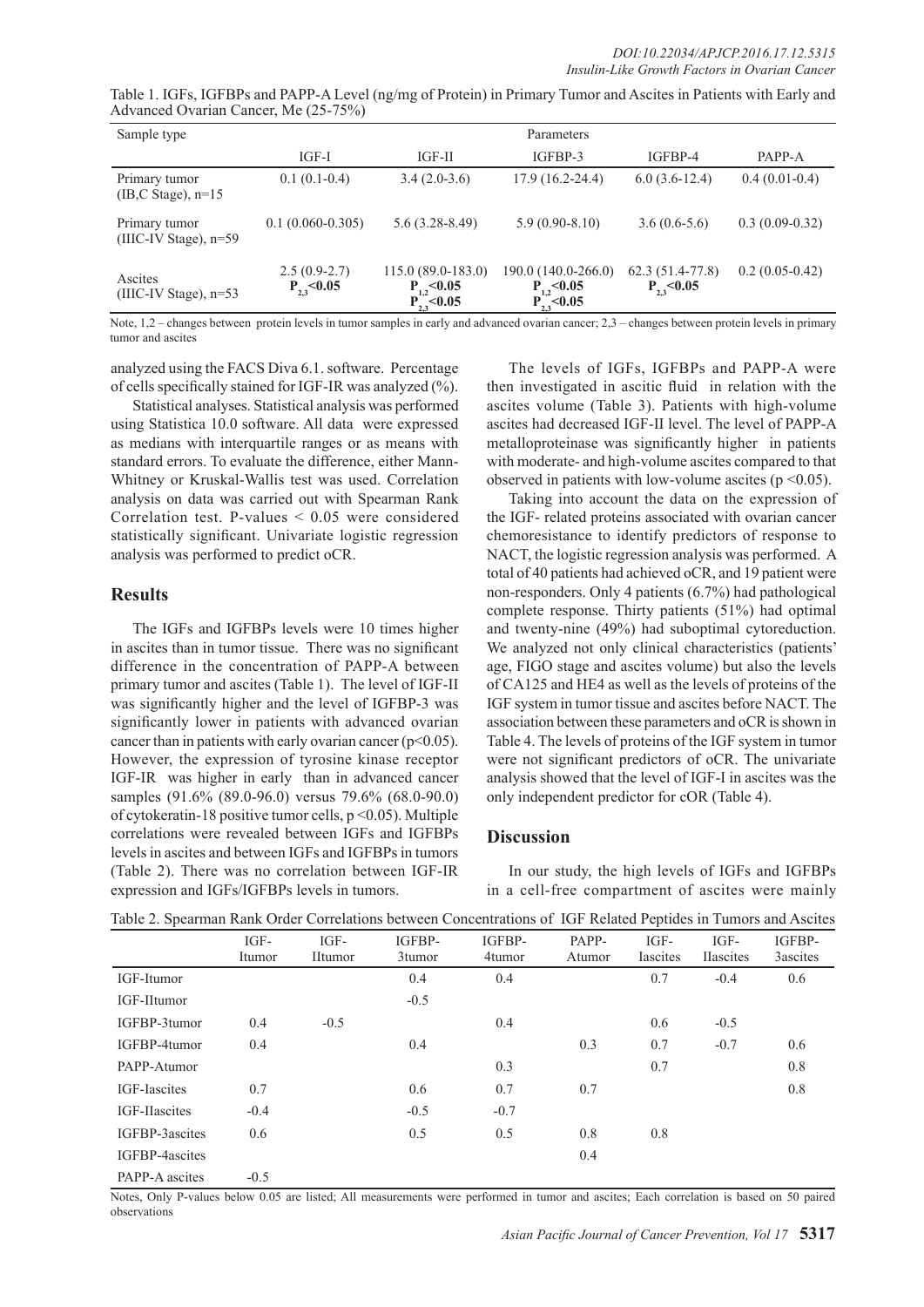| Table 1. IGFs, IGFBPs and PAPP-A Level (ng/mg of Protein) in Primary Tumor and Ascites in Patients with Early and |  |  |
|-------------------------------------------------------------------------------------------------------------------|--|--|
| Advanced Ovarian Cancer, Me (25-75%)                                                                              |  |  |

| Sample type                                     | Parameters                         |                                                             |                                                             |                                      |                  |  |
|-------------------------------------------------|------------------------------------|-------------------------------------------------------------|-------------------------------------------------------------|--------------------------------------|------------------|--|
|                                                 | IGF-I                              | IGF-II                                                      | IGFBP-3                                                     | IGFBP-4                              | PAPP-A           |  |
| Primary tumor<br>$(IB, C \text{ Stage})$ , n=15 | $0.1(0.1-0.4)$                     | $3.4(2.0-3.6)$                                              | $17.9(16.2 - 24.4)$                                         | $6.0(3.6-12.4)$                      | $0.4(0.01-0.4)$  |  |
| Primary tumor<br>(IIIC-IV Stage), n=59          | $0.1(0.060 - 0.305)$               | $5.6(3.28-8.49)$                                            | $5.9(0.90-8.10)$                                            | $3.6(0.6-5.6)$                       | $0.3(0.09-0.32)$ |  |
| Ascites<br>$(IIIC-IV Stage)$ , n=53             | $2.5(0.9-2.7)$<br>$P_{2,3}$ < 0.05 | $115.0(89.0-183.0)$<br>$P_{1,2}$ < 0.05<br>$P_{2,3}$ < 0.05 | 190.0 (140.0-266.0)<br>$P_{1,2}$ < 0.05<br>$P_{2,3}$ < 0.05 | $62.3(51.4-77.8)$<br>$P_{2,3}$ <0.05 | $0.2(0.05-0.42)$ |  |

Note, 1,2 – changes between protein levels in tumor samples in early and advanced ovarian cancer; 2,3 – changes between protein levels in primary tumor and ascites

analyzed using the FACS Diva 6.1. software. Percentage of cells specifically stained for IGF-IR was analyzed (%).

Statistical analyses. Statistical analysis was performed using Statistica 10.0 software. All data were expressed as medians with interquartile ranges or as means with standard errors. To evaluate the difference, either Mann-Whitney or Kruskal-Wallis test was used. Correlation analysis on data was carried out with Spearman Rank Correlation test. P-values < 0.05 were considered statistically significant. Univariate logistic regression analysis was performed to predict oCR.

#### **Results**

The IGFs and IGFBPs levels were 10 times higher in ascites than in tumor tissue. There was no significant difference in the concentration of PAPP-A between primary tumor and ascites (Table 1). The level of IGF-II was significantly higher and the level of IGFBP-3 was significantly lower in patients with advanced ovarian cancer than in patients with early ovarian cancer ( $p<0.05$ ). However, the expression of tyrosine kinase receptor IGF-IR was higher in early than in advanced cancer samples (91.6% (89.0-96.0) versus 79.6% (68.0-90.0) of cytokeratin-18 positive tumor cells, p <0.05). Multiple correlations were revealed between IGFs and IGFBPs levels in ascites and between IGFs and IGFBPs in tumors (Table 2). There was no correlation between IGF-IR expression and IGFs/IGFBPs levels in tumors.

The levels of IGFs, IGFBPs and PAPP-A were then investigated in ascitic fluid in relation with the ascites volume (Table 3). Patients with high-volume ascites had decreased IGF-II level. The level of PAPP-A metalloproteinase was significantly higher in patients with moderate- and high-volume ascites compared to that observed in patients with low-volume ascites ( $p \le 0.05$ ).

Taking into account the data on the expression of the IGF- related proteins associated with ovarian cancer chemoresistance to identify predictors of response to NACT, the logistic regression analysis was performed. A total of 40 patients had achieved oCR, and 19 patient were non-responders. Only 4 patients (6.7%) had pathological complete response. Thirty patients (51%) had optimal and twenty-nine (49%) had suboptimal cytoreduction. We analyzed not only clinical characteristics (patients' age, FIGO stage and ascites volume) but also the levels of CA125 and HE4 as well as the levels of proteins of the IGF system in tumor tissue and ascites before NACT. The association between these parameters and oCR is shown in Table 4. The levels of proteins of the IGF system in tumor were not significant predictors of oCR. The univariate analysis showed that the level of IGF-I in ascites was the only independent predictor for cOR (Table 4).

### **Discussion**

In our study, the high levels of IGFs and IGFBPs in a cell-free compartment of ascites were mainly

|                | IGF-<br>Itumor | $IGF-$<br><b>IItumor</b> | IGFBP-<br>3tumor | IGFBP-<br>4tumor | PAPP-<br>Atumor | IGF-<br><i>lascites</i> | IGF-<br><b>Hascites</b> | IGFBP-<br>3ascites |
|----------------|----------------|--------------------------|------------------|------------------|-----------------|-------------------------|-------------------------|--------------------|
| IGF-Itumor     |                |                          | 0.4              | 0.4              |                 | 0.7                     | $-0.4$                  | 0.6                |
| IGF-IItumor    |                |                          | $-0.5$           |                  |                 |                         |                         |                    |
| IGFBP-3tumor   | 0.4            | $-0.5$                   |                  | 0.4              |                 | 0.6                     | $-0.5$                  |                    |
| IGFBP-4tumor   | 0.4            |                          | 0.4              |                  | 0.3             | 0.7                     | $-0.7$                  | 0.6                |
| PAPP-Atumor    |                |                          |                  | 0.3              |                 | 0.7                     |                         | 0.8                |
| IGF-Iascites   | 0.7            |                          | 0.6              | 0.7              | 0.7             |                         |                         | 0.8                |
| IGF-IIascites  | $-0.4$         |                          | $-0.5$           | $-0.7$           |                 |                         |                         |                    |
| IGFBP-3ascites | 0.6            |                          | 0.5              | 0.5              | 0.8             | 0.8                     |                         |                    |
| IGFBP-4ascites |                |                          |                  |                  | 0.4             |                         |                         |                    |
| PAPP-A ascites | $-0.5$         |                          |                  |                  |                 |                         |                         |                    |

Table 2. Spearman Rank Order Correlations between Concentrations of IGF Related Peptides in Tumors and Ascites

Notes, Only P-values below 0.05 are listed; All measurements were performed in tumor and ascites; Each correlation is based on 50 paired observations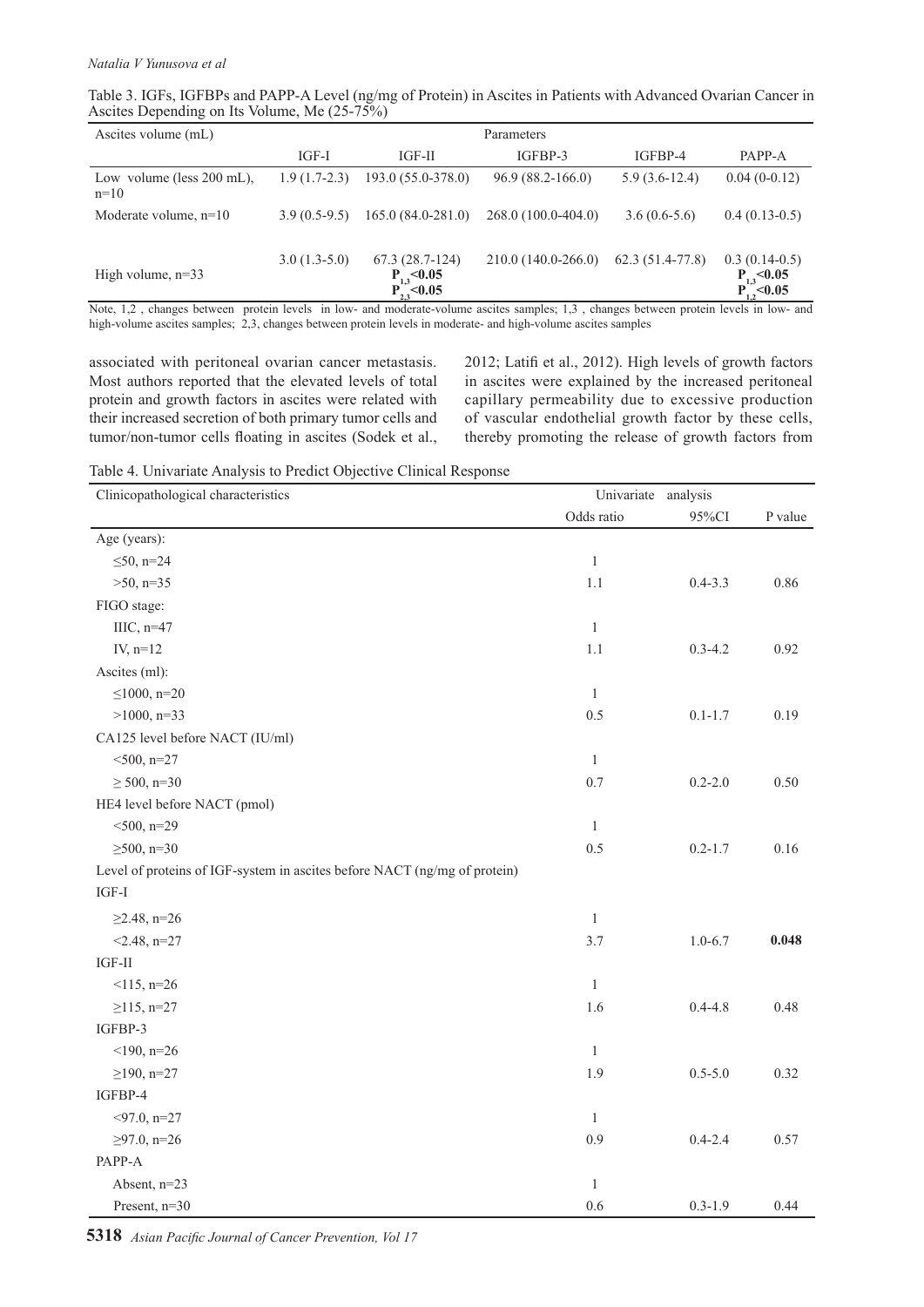| Table 3. IGFs, IGFBPs and PAPP-A Level (ng/mg of Protein) in Ascites in Patients with Advanced Ovarian Cancer in |  |  |  |
|------------------------------------------------------------------------------------------------------------------|--|--|--|
| Ascites Depending on Its Volume, Me (25-75%)                                                                     |  |  |  |

| Ascites volume (mL)                   | Parameters     |                                                          |                      |                   |                                                         |  |
|---------------------------------------|----------------|----------------------------------------------------------|----------------------|-------------------|---------------------------------------------------------|--|
|                                       | $IGF-I$        | IGF-II                                                   | IGFBP-3              | IGFBP-4           | PAPP-A                                                  |  |
| Low volume (less $200$ mL),<br>$n=10$ | $1.9(1.7-2.3)$ | $193.0(55.0-378.0)$                                      | $96.9(88.2 - 166.0)$ | $5.9(3.6-12.4)$   | $0.04(0-0.12)$                                          |  |
| Moderate volume, $n=10$               | $3.9(0.5-9.5)$ | $165.0(84.0-281.0)$                                      | $268.0(100.0-404.0)$ | $3.6(0.6-5.6)$    | $0.4(0.13-0.5)$                                         |  |
| High volume, $n=33$                   | $3.0(1.3-5.0)$ | $67.3(28.7-124)$<br>$P_{1,3}$ < 0.05<br>$P_{23}^-$ <0.05 | 210.0 (140.0-266.0)  | $62.3(51.4-77.8)$ | $0.3(0.14-0.5)$<br>$P_{1,3}$ < 0.05<br>$P_{1.2}$ < 0.05 |  |

Note, 1,2 , changes between protein levels in low- and moderate-volume ascites samples; 1,3 , changes between protein levels in low- and high-volume ascites samples; 2,3, changes between protein levels in moderate- and high-volume ascites samples

associated with peritoneal ovarian cancer metastasis. Most authors reported that the elevated levels of total protein and growth factors in ascites were related with their increased secretion of both primary tumor cells and tumor/non-tumor cells floating in ascites (Sodek et al., 2012; Latifi et al., 2012). High levels of growth factors in ascites were explained by the increased peritoneal capillary permeability due to excessive production of vascular endothelial growth factor by these cells, thereby promoting the release of growth factors from

Table 4. Univariate Analysis to Predict Objective Clinical Response

| Clinicopathological characteristics<br>Univariate                         |              | analysis    |         |
|---------------------------------------------------------------------------|--------------|-------------|---------|
|                                                                           | Odds ratio   | 95%CI       | P value |
| Age (years):                                                              |              |             |         |
| $\leq 50$ , n=24                                                          | $\mathbf{1}$ |             |         |
| $>50$ , n=35                                                              | 1.1          | $0.4 - 3.3$ | 0.86    |
| FIGO stage:                                                               |              |             |         |
| IIIC, $n=47$                                                              | $\mathbf{1}$ |             |         |
| IV, $n=12$                                                                | 1.1          | $0.3 - 4.2$ | 0.92    |
| Ascites (ml):                                                             |              |             |         |
| $\leq 1000$ , n=20                                                        | $\mathbf{1}$ |             |         |
| $>1000$ , n=33                                                            | 0.5          | $0.1 - 1.7$ | 0.19    |
| CA125 level before NACT (IU/ml)                                           |              |             |         |
| $<$ 500, n=27                                                             | $\mathbf{1}$ |             |         |
| $\geq 500$ , n=30                                                         | 0.7          | $0.2 - 2.0$ | 0.50    |
| HE4 level before NACT (pmol)                                              |              |             |         |
| $<$ 500, n=29                                                             | $\mathbf{1}$ |             |         |
| $\geq 500$ , n=30                                                         | 0.5          | $0.2 - 1.7$ | 0.16    |
| Level of proteins of IGF-system in ascites before NACT (ng/mg of protein) |              |             |         |
| $IGF-I$                                                                   |              |             |         |
| $\geq$ 2.48, n=26                                                         | $\mathbf{1}$ |             |         |
| $<$ 2.48, n=27                                                            | 3.7          | $1.0 - 6.7$ | 0.048   |
| $IGF-II$                                                                  |              |             |         |
| $<$ 115, n=26                                                             | $\mathbf{1}$ |             |         |
| $\geq$ 115, n=27                                                          | 1.6          | $0.4 - 4.8$ | 0.48    |
| IGFBP-3                                                                   |              |             |         |
| $<$ 190, n=26                                                             | $\mathbf{1}$ |             |         |
| $\geq$ 190, n=27                                                          | 1.9          | $0.5 - 5.0$ | 0.32    |
| IGFBP-4                                                                   |              |             |         |
| $<$ 97.0, n=27                                                            | $\mathbf{1}$ |             |         |
| $≥97.0$ , n=26                                                            | 0.9          | $0.4 - 2.4$ | 0.57    |
| PAPP-A                                                                    |              |             |         |
| Absent, n=23                                                              | 1            |             |         |
| Present, n=30                                                             | 0.6          | $0.3 - 1.9$ | 0.44    |

**5318** *Asian Pacific Journal of Cancer Prevention, Vol 17*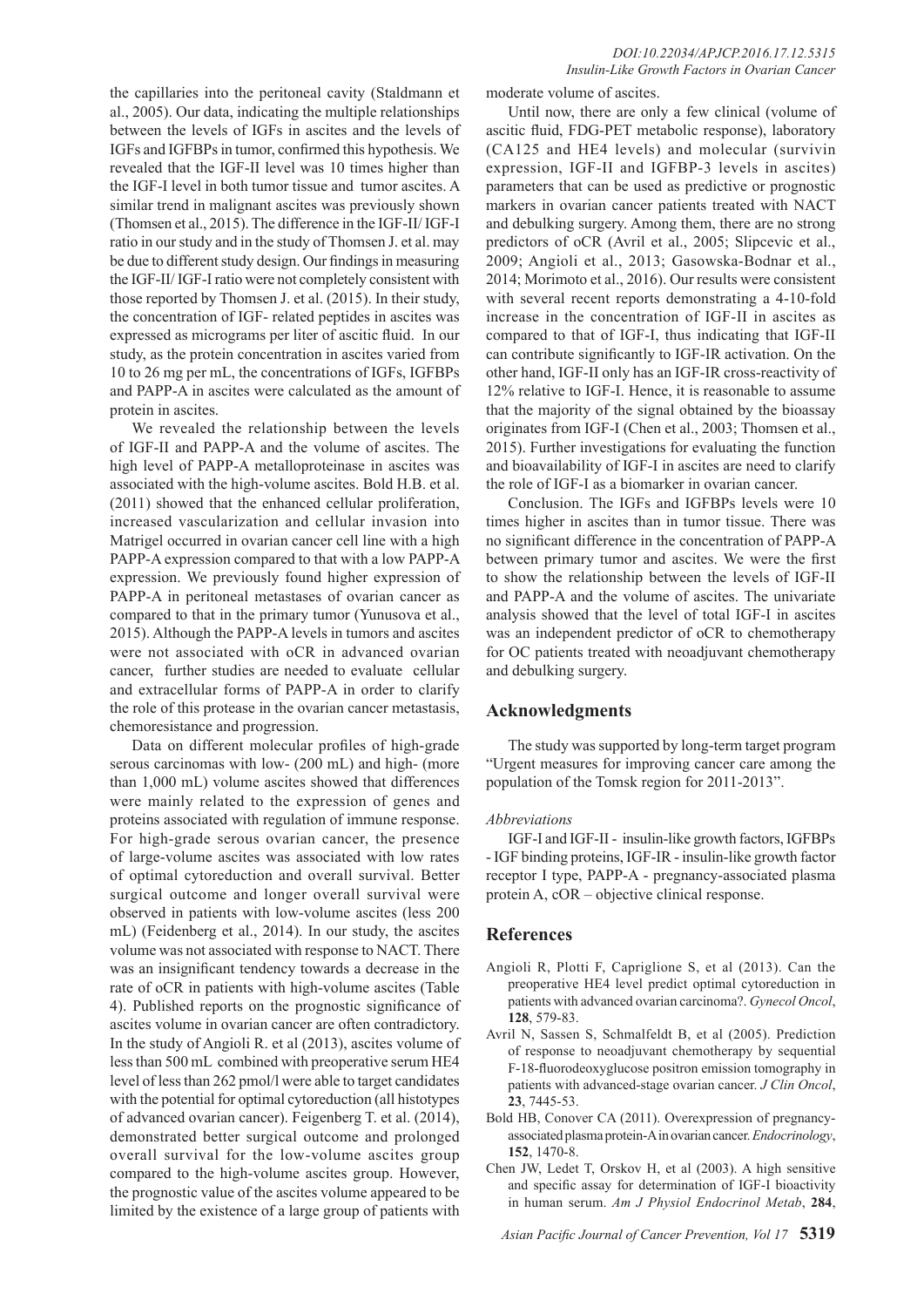the capillaries into the peritoneal cavity (Staldmann et al., 2005). Our data, indicating the multiple relationships between the levels of IGFs in ascites and the levels of IGFs and IGFBPs in tumor, confirmed this hypothesis. We revealed that the IGF-II level was 10 times higher than the IGF-I level in both tumor tissue and tumor ascites. A similar trend in malignant ascites was previously shown (Thomsen et al., 2015). The difference in the IGF-II/ IGF-I ratio in our study and in the study of Thomsen J. et al. may be due to different study design. Our findings in measuring the IGF-II/ IGF-I ratio were not completely consistent with those reported by Thomsen J. et al. (2015). In their study, the concentration of IGF- related peptides in ascites was expressed as micrograms per liter of ascitic fluid. In our study, as the protein concentration in ascites varied from 10 to 26 mg per mL, the concentrations of IGFs, IGFBPs and PAPP-A in ascites were calculated as the amount of protein in ascites.

We revealed the relationship between the levels of IGF-II and PAPP-A and the volume of ascites. The high level of PAPP-A metalloproteinase in ascites was associated with the high-volume ascites. Bold H.B. et al. (2011) showed that the enhanced cellular proliferation, increased vascularization and cellular invasion into Matrigel occurred in ovarian cancer cell line with a high PAPP-A expression compared to that with a low PAPP-A expression. We previously found higher expression of PAPP-A in peritoneal metastases of ovarian cancer as compared to that in the primary tumor (Yunusova et al., 2015). Although the PAPP-A levels in tumors and ascites were not associated with oCR in advanced ovarian cancer, further studies are needed to evaluate cellular and extracellular forms of PAPP-A in order to clarify the role of this protease in the ovarian cancer metastasis, chemoresistance and progression.

Data on different molecular profiles of high-grade serous carcinomas with low- (200 mL) and high- (more than 1,000 mL) volume ascites showed that differences were mainly related to the expression of genes and proteins associated with regulation of immune response. For high-grade serous ovarian cancer, the presence of large-volume ascites was associated with low rates of optimal cytoreduction and overall survival. Better surgical outcome and longer overall survival were observed in patients with low-volume ascites (less 200 mL) (Feidenberg et al., 2014). In our study, the ascites volume was not associated with response to NACT. There was an insignificant tendency towards a decrease in the rate of oCR in patients with high-volume ascites (Table 4). Published reports on the prognostic significance of ascites volume in ovarian cancer are often contradictory. In the study of Angioli R. et al (2013), ascites volume of less than 500 mL combined with preoperative serum HE4 level of less than 262 pmol/l were able to target candidates with the potential for optimal cytoreduction (all histotypes of advanced ovarian cancer). Feigenberg T. et al. (2014), demonstrated better surgical outcome and prolonged overall survival for the low-volume ascites group compared to the high-volume ascites group. However, the prognostic value of the ascites volume appeared to be limited by the existence of a large group of patients with

moderate volume of ascites.

Until now, there are only a few clinical (volume of ascitic fluid, FDG-PET metabolic response), laboratory (CA125 and HE4 levels) and molecular (survivin expression, IGF-II and IGFBP-3 levels in ascites) parameters that can be used as predictive or prognostic markers in ovarian cancer patients treated with NACT and debulking surgery. Among them, there are no strong predictors of oCR (Avril et al., 2005; Slipcevic et al., 2009; Angioli et al., 2013; Gasowska-Bodnar et al., 2014; Morimoto et al., 2016). Our results were consistent with several recent reports demonstrating a 4-10-fold increase in the concentration of IGF-II in ascites as compared to that of IGF-I, thus indicating that IGF-II can contribute significantly to IGF-IR activation. On the other hand, IGF-II only has an IGF-IR cross-reactivity of 12% relative to IGF-I. Hence, it is reasonable to assume that the majority of the signal obtained by the bioassay originates from IGF-I (Chen et al., 2003; Thomsen et al., 2015). Further investigations for evaluating the function and bioavailability of IGF-I in ascites are need to clarify the role of IGF-I as a biomarker in ovarian cancer.

Conclusion. The IGFs and IGFBPs levels were 10 times higher in ascites than in tumor tissue. There was no significant difference in the concentration of PAPP-A between primary tumor and ascites. We were the first to show the relationship between the levels of IGF-II and PAPP-A and the volume of ascites. The univariate analysis showed that the level of total IGF-I in ascites was an independent predictor of oCR to chemotherapy for OC patients treated with neoadjuvant chemotherapy and debulking surgery.

#### **Acknowledgments**

The study was supported by long-term target program "Urgent measures for improving cancer care among the population of the Tomsk region for 2011-2013".

#### *Abbreviations*

IGF-I and IGF-II - insulin-like growth factors, IGFBPs - IGF binding proteins, IGF-IR - insulin-like growth factor receptor I type, PAPP-A - pregnancy-associated plasma protein A, cOR – objective clinical response.

#### **References**

- Angioli R, Plotti F, Capriglione S, et al (2013). Can the preoperative HE4 level predict optimal cytoreduction in patients with advanced ovarian carcinoma?. *Gynecol Oncol*, **128**, 579-83.
- Avril N, Sassen S, Schmalfeldt B, et al (2005). Prediction of response to neoadjuvant chemotherapy by sequential F-18-fluorodeoxyglucose positron emission tomography in patients with advanced-stage ovarian cancer. *J Clin Oncol*, **23**, 7445-53.
- Bold HB, Conover CA (2011). Overexpression of pregnancyassociated plasma protein-A in ovarian cancer. *Endocrinology*, **152**, 1470-8.
- Chen JW, Ledet T, Orskov H, et al (2003). A high sensitive and specific assay for determination of IGF-I bioactivity in human serum. *Am J Physiol Endocrinol Metab*, **284**,